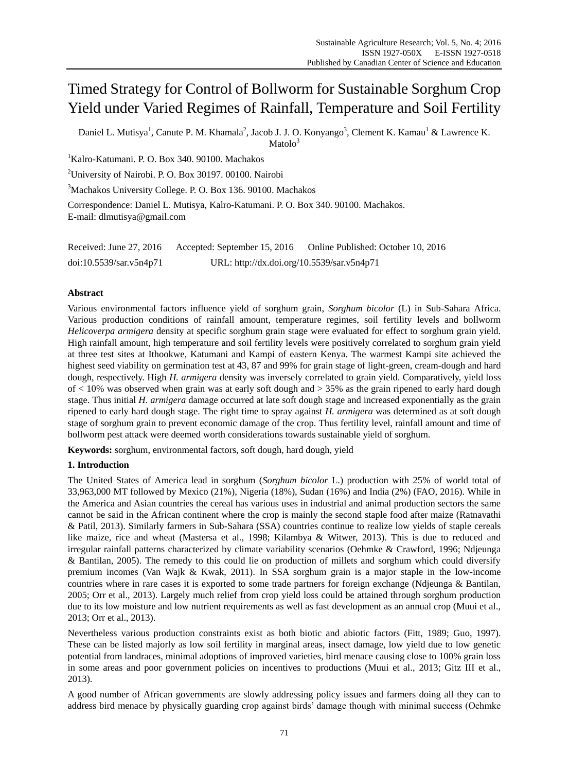# Timed Strategy for Control of Bollworm for Sustainable Sorghum Crop Yield under Varied Regimes of Rainfall, Temperature and Soil Fertility

Daniel L. Mutisya<sup>1</sup>, Canute P. M. Khamala<sup>2</sup>, Jacob J. J. O. Konyango<sup>3</sup>, Clement K. Kamau<sup>1</sup> & Lawrence K.

 $Matolo<sup>3</sup>$ 

<sup>1</sup>Kalro-Katumani. P. O. Box 340. 90100. Machakos

<sup>2</sup>University of Nairobi. P. O. Box 30197. 00100. Nairobi

<sup>3</sup>Machakos University College. P. O. Box 136. 90100. Machakos

Correspondence: Daniel L. Mutisya, Kalro-Katumani. P. O. Box 340. 90100. Machakos. E-mail: dlmutisya@gmail.com

| Received: June $27, 2016$ | Accepted: September 15, 2016               | Online Published: October 10, 2016 |
|---------------------------|--------------------------------------------|------------------------------------|
| doi:10.5539/sar.v5n4p71   | URL: http://dx.doi.org/10.5539/sar.v5n4p71 |                                    |

# **Abstract**

Various environmental factors influence yield of sorghum grain, *Sorghum bicolor* (L) in Sub-Sahara Africa. Various production conditions of rainfall amount, temperature regimes, soil fertility levels and bollworm *Helicoverpa armigera* density at specific sorghum grain stage were evaluated for effect to sorghum grain yield. High rainfall amount, high temperature and soil fertility levels were positively correlated to sorghum grain yield at three test sites at Ithookwe, Katumani and Kampi of eastern Kenya. The warmest Kampi site achieved the highest seed viability on germination test at 43, 87 and 99% for grain stage of light-green, cream-dough and hard dough, respectively. High *H. armigera* density was inversely correlated to grain yield. Comparatively, yield loss of  $<$  10% was observed when grain was at early soft dough and  $>$  35% as the grain ripened to early hard dough stage. Thus initial *H. armigera* damage occurred at late soft dough stage and increased exponentially as the grain ripened to early hard dough stage. The right time to spray against *H. armigera* was determined as at soft dough stage of sorghum grain to prevent economic damage of the crop. Thus fertility level, rainfall amount and time of bollworm pest attack were deemed worth considerations towards sustainable yield of sorghum.

**Keywords:** sorghum, environmental factors, soft dough, hard dough, yield

# **1. Introduction**

The United States of America lead in sorghum (*Sorghum bicolor* L.) production with 25% of world total of 33,963,000 MT followed by Mexico (21%), Nigeria (18%), Sudan (16%) and India (2%) (FAO, 2016). While in the America and Asian countries the cereal has various uses in industrial and animal production sectors the same cannot be said in the African continent where the crop is mainly the second staple food after maize (Ratnavathi & Patil, 2013). Similarly farmers in Sub-Sahara (SSA) countries continue to realize low yields of staple cereals like maize, rice and wheat (Mastersa et al., 1998; Kilambya & Witwer, 2013). This is due to reduced and irregular rainfall patterns characterized by climate variability scenarios (Oehmke & Crawford, 1996; Ndjeunga & Bantilan, 2005). The remedy to this could lie on production of millets and sorghum which could diversify premium incomes (Van Wajk & Kwak, 2011). In SSA sorghum grain is a major staple in the low-income countries where in rare cases it is exported to some trade partners for foreign exchange (Ndjeunga & Bantilan, 2005; Orr et al., 2013). Largely much relief from crop yield loss could be attained through sorghum production due to its low moisture and low nutrient requirements as well as fast development as an annual crop (Muui et al., 2013; Orr et al., 2013).

Nevertheless various production constraints exist as both biotic and abiotic factors (Fitt, 1989; Guo, 1997). These can be listed majorly as low soil fertility in marginal areas, insect damage, low yield due to low genetic potential from landraces, minimal adoptions of improved varieties, bird menace causing close to 100% grain loss in some areas and poor government policies on incentives to productions (Muui et al., 2013; Gitz III et al., 2013).

A good number of African governments are slowly addressing policy issues and farmers doing all they can to address bird menace by physically guarding crop against birds' damage though with minimal success (Oehmke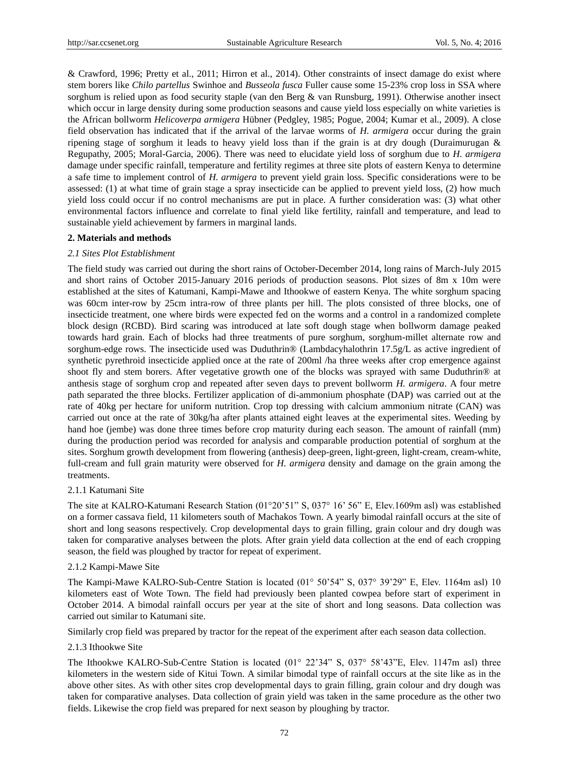& Crawford, 1996; Pretty et al., 2011; Hirron et al., 2014). Other constraints of insect damage do exist where stem borers like *Chilo partellus* Swinhoe and *Busseola fusca* Fuller cause some 15-23% crop loss in SSA where sorghum is relied upon as food security staple (van den Berg & van Runsburg, 1991). Otherwise another insect which occur in large density during some production seasons and cause yield loss especially on white varieties is the African bollworm *Helicoverpa armigera* Hübner (Pedgley, 1985; Pogue, 2004; Kumar et al., 2009). A close field observation has indicated that if the arrival of the larvae worms of *H. armigera* occur during the grain ripening stage of sorghum it leads to heavy yield loss than if the grain is at dry dough (Duraimurugan & Regupathy, 2005; Moral-Garcia, 2006). There was need to elucidate yield loss of sorghum due to *H. armigera* damage under specific rainfall, temperature and fertility regimes at three site plots of eastern Kenya to determine a safe time to implement control of *H. armigera* to prevent yield grain loss. Specific considerations were to be assessed: (1) at what time of grain stage a spray insecticide can be applied to prevent yield loss, (2) how much yield loss could occur if no control mechanisms are put in place. A further consideration was: (3) what other environmental factors influence and correlate to final yield like fertility, rainfall and temperature, and lead to sustainable yield achievement by farmers in marginal lands.

#### **2. Materials and methods**

### *2.1 Sites Plot Establishment*

The field study was carried out during the short rains of October-December 2014, long rains of March-July 2015 and short rains of October 2015-January 2016 periods of production seasons. Plot sizes of 8m x 10m were established at the sites of Katumani, Kampi-Mawe and Ithookwe of eastern Kenya. The white sorghum spacing was 60cm inter-row by 25cm intra-row of three plants per hill. The plots consisted of three blocks, one of insecticide treatment, one where birds were expected fed on the worms and a control in a randomized complete block design (RCBD). Bird scaring was introduced at late soft dough stage when bollworm damage peaked towards hard grain. Each of blocks had three treatments of pure sorghum, sorghum-millet alternate row and sorghum-edge rows. The insecticide used was Duduthrin® (Lambdacyhalothrin 17.5g/L as active ingredient of synthetic pyrethroid insecticide applied once at the rate of 200ml /ha three weeks after crop emergence against shoot fly and stem borers. After vegetative growth one of the blocks was sprayed with same Duduthrin® at anthesis stage of sorghum crop and repeated after seven days to prevent bollworm *H. armigera*. A four metre path separated the three blocks. Fertilizer application of di-ammonium phosphate (DAP) was carried out at the rate of 40kg per hectare for uniform nutrition. Crop top dressing with calcium ammonium nitrate (CAN) was carried out once at the rate of 30kg/ha after plants attained eight leaves at the experimental sites. Weeding by hand hoe (jembe) was done three times before crop maturity during each season. The amount of rainfall (mm) during the production period was recorded for analysis and comparable production potential of sorghum at the sites. Sorghum growth development from flowering (anthesis) deep-green, light-green, light-cream, cream-white, full-cream and full grain maturity were observed for *H. armigera* density and damage on the grain among the treatments.

#### 2.1.1 Katumani Site

The site at KALRO-Katumani Research Station (01°20'51" S, 037° 16' 56" E, Elev.1609m asl) was established on a former cassava field, 11 kilometers south of Machakos Town. A yearly bimodal rainfall occurs at the site of short and long seasons respectively. Crop developmental days to grain filling, grain colour and dry dough was taken for comparative analyses between the plots. After grain yield data collection at the end of each cropping season, the field was ploughed by tractor for repeat of experiment.

#### 2.1.2 Kampi-Mawe Site

The Kampi-Mawe KALRO-Sub-Centre Station is located (01° 50'54" S, 037° 39'29" E, Elev. 1164m asl) 10 kilometers east of Wote Town. The field had previously been planted cowpea before start of experiment in October 2014. A bimodal rainfall occurs per year at the site of short and long seasons. Data collection was carried out similar to Katumani site.

Similarly crop field was prepared by tractor for the repeat of the experiment after each season data collection.

#### 2.1.3 Ithookwe Site

The Ithookwe KALRO-Sub-Centre Station is located (01° 22'34" S, 037° 58'43"E, Elev. 1147m asl) three kilometers in the western side of Kitui Town. A similar bimodal type of rainfall occurs at the site like as in the above other sites. As with other sites crop developmental days to grain filling, grain colour and dry dough was taken for comparative analyses. Data collection of grain yield was taken in the same procedure as the other two fields. Likewise the crop field was prepared for next season by ploughing by tractor.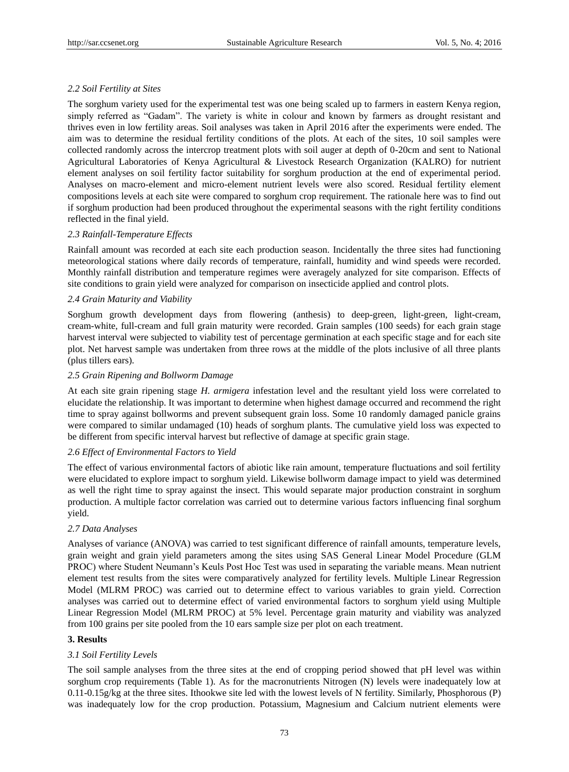# *2.2 Soil Fertility at Sites*

The sorghum variety used for the experimental test was one being scaled up to farmers in eastern Kenya region, simply referred as "Gadam". The variety is white in colour and known by farmers as drought resistant and thrives even in low fertility areas. Soil analyses was taken in April 2016 after the experiments were ended. The aim was to determine the residual fertility conditions of the plots. At each of the sites, 10 soil samples were collected randomly across the intercrop treatment plots with soil auger at depth of 0-20cm and sent to National Agricultural Laboratories of Kenya Agricultural & Livestock Research Organization (KALRO) for nutrient element analyses on soil fertility factor suitability for sorghum production at the end of experimental period. Analyses on macro-element and micro-element nutrient levels were also scored. Residual fertility element compositions levels at each site were compared to sorghum crop requirement. The rationale here was to find out if sorghum production had been produced throughout the experimental seasons with the right fertility conditions reflected in the final yield.

# *2.3 Rainfall-Temperature Effects*

Rainfall amount was recorded at each site each production season. Incidentally the three sites had functioning meteorological stations where daily records of temperature, rainfall, humidity and wind speeds were recorded. Monthly rainfall distribution and temperature regimes were averagely analyzed for site comparison. Effects of site conditions to grain yield were analyzed for comparison on insecticide applied and control plots.

# *2.4 Grain Maturity and Viability*

Sorghum growth development days from flowering (anthesis) to deep-green, light-green, light-cream, cream-white, full-cream and full grain maturity were recorded. Grain samples (100 seeds) for each grain stage harvest interval were subjected to viability test of percentage germination at each specific stage and for each site plot. Net harvest sample was undertaken from three rows at the middle of the plots inclusive of all three plants (plus tillers ears).

# *2.5 Grain Ripening and Bollworm Damage*

At each site grain ripening stage *H. armigera* infestation level and the resultant yield loss were correlated to elucidate the relationship. It was important to determine when highest damage occurred and recommend the right time to spray against bollworms and prevent subsequent grain loss. Some 10 randomly damaged panicle grains were compared to similar undamaged (10) heads of sorghum plants. The cumulative yield loss was expected to be different from specific interval harvest but reflective of damage at specific grain stage.

# *2.6 Effect of Environmental Factors to Yield*

The effect of various environmental factors of abiotic like rain amount, temperature fluctuations and soil fertility were elucidated to explore impact to sorghum yield. Likewise bollworm damage impact to yield was determined as well the right time to spray against the insect. This would separate major production constraint in sorghum production. A multiple factor correlation was carried out to determine various factors influencing final sorghum yield.

# *2.7 Data Analyses*

Analyses of variance (ANOVA) was carried to test significant difference of rainfall amounts, temperature levels, grain weight and grain yield parameters among the sites using SAS General Linear Model Procedure (GLM PROC) where Student Neumann's Keuls Post Hoc Test was used in separating the variable means. Mean nutrient element test results from the sites were comparatively analyzed for fertility levels. Multiple Linear Regression Model (MLRM PROC) was carried out to determine effect to various variables to grain yield. Correction analyses was carried out to determine effect of varied environmental factors to sorghum yield using Multiple Linear Regression Model (MLRM PROC) at 5% level. Percentage grain maturity and viability was analyzed from 100 grains per site pooled from the 10 ears sample size per plot on each treatment.

# **3. Results**

# *3.1 Soil Fertility Levels*

The soil sample analyses from the three sites at the end of cropping period showed that pH level was within sorghum crop requirements (Table 1). As for the macronutrients Nitrogen (N) levels were inadequately low at 0.11-0.15g/kg at the three sites. Ithookwe site led with the lowest levels of N fertility. Similarly, Phosphorous (P) was inadequately low for the crop production. Potassium, Magnesium and Calcium nutrient elements were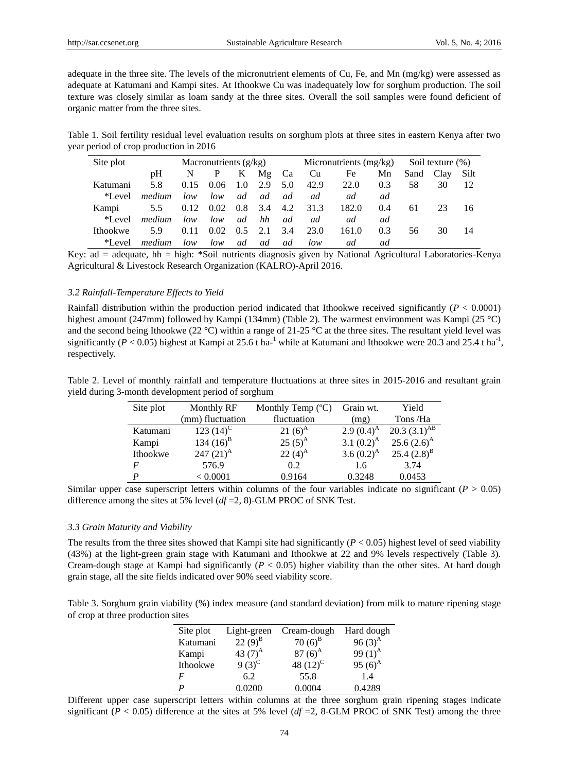adequate in the three site. The levels of the micronutrient elements of Cu, Fe, and Mn (mg/kg) were assessed as adequate at Katumani and Kampi sites. At Ithookwe Cu was inadequately low for sorghum production. The soil texture was closely similar as loam sandy at the three sites. Overall the soil samples were found deficient of organic matter from the three sites.

Table 1. Soil fertility residual level evaluation results on sorghum plots at three sites in eastern Kenya after two year period of crop production in 2016

| Site plot       | Macronutrients $(g/kg)$ |      |      | Micronutrients (mg/kg) |               |     | Soil texture (%) |       |     |           |    |      |
|-----------------|-------------------------|------|------|------------------------|---------------|-----|------------------|-------|-----|-----------|----|------|
|                 | pΗ                      | N    | P    | K                      | Mg            | Ca  | Cu               | Fe    | Mn  | Sand Clay |    | Silt |
| Katumani        | 5.8                     | 0.15 | 0.06 | 1.0                    | 2.9           | 5.0 | 42.9             | 22.0  | 0.3 | 58        | 30 |      |
| *Level          | medium                  | low  | low  | ad                     | <sub>ad</sub> | ad  | ad               | ad    | ad  |           |    |      |
| Kampi           | 5.5                     | 0.12 | 0.02 | 0.8                    | $-3.4$        | 4.2 | 31.3             | 182.0 | 0.4 | 61        | 23 | 16.  |
| *Level          | medium                  | low  | low  | <sub>ad</sub>          | hh            | ad  | ad               | ad    | ad  |           |    |      |
| <b>Ithookwe</b> | 5.9                     | 0.11 | 0.02 | $0.5^{\circ}$          | 2.1           | 3.4 | 23.0             | 161.0 | 0.3 | 56        | 30 | 14   |
| *Level          | <i>medium</i>           | low  | low  | ad                     | ad            | ad  | low              | ad    | ad  |           |    |      |

Key: ad = adequate, hh = high: \*Soil nutrients diagnosis given by National Agricultural Laboratories-Kenya Agricultural & Livestock Research Organization (KALRO)-April 2016.

# *3.2 Rainfall-Temperature Effects to Yield*

Rainfall distribution within the production period indicated that Ithookwe received significantly (*P* < 0.0001) highest amount (247mm) followed by Kampi (134mm) (Table 2). The warmest environment was Kampi (25 °C) and the second being Ithookwe (22 °C) within a range of 21-25 °C at the three sites. The resultant yield level was significantly ( $P < 0.05$ ) highest at Kampi at 25.6 t ha-<sup>1</sup> while at Katumani and Ithookwe were 20.3 and 25.4 t ha<sup>-1</sup>, respectively.

| Table 2. Level of monthly rainfall and temperature fluctuations at three sites in 2015-2016 and resultant grain |  |  |  |  |  |
|-----------------------------------------------------------------------------------------------------------------|--|--|--|--|--|
| yield during 3-month development period of sorghum                                                              |  |  |  |  |  |

| Site plot | Monthly RF       | Monthly Temp $(\mathbb{C})$ | Grain wt.     | Yield             |
|-----------|------------------|-----------------------------|---------------|-------------------|
|           | (mm) fluctuation | fluctuation                 | (mg)          | Tons/Ha           |
| Katumani  | 123 $(14)^C$     | 21 $(6)^A$                  | 2.9 $(0.4)^A$ | 20.3 $(3.1)^{AB}$ |
| Kampi     | 134 $(16)^{B}$   | $25(5)^A$                   | 3.1 $(0.2)^A$ | $25.6(2.6)^A$     |
| Ithookwe  | 247 $(21)^A$     | $22(4)^A$                   | 3.6 $(0.2)^A$ | 25.4 $(2.8)^{B}$  |
| F         | 576.9            | 0.2                         | 1.6           | 3.74              |
| D         | < 0.0001         | 0.9164                      | 0.3248        | 0.0453            |

Similar upper case superscript letters within columns of the four variables indicate no significant ( $P > 0.05$ ) difference among the sites at 5% level (*df* =2, 8)-GLM PROC of SNK Test.

#### *3.3 Grain Maturity and Viability*

The results from the three sites showed that Kampi site had significantly  $(P < 0.05)$  highest level of seed viability (43%) at the light-green grain stage with Katumani and Ithookwe at 22 and 9% levels respectively (Table 3). Cream-dough stage at Kampi had significantly (*P* < 0.05) higher viability than the other sites. At hard dough grain stage, all the site fields indicated over 90% seed viability score.

Table 3. Sorghum grain viability (%) index measure (and standard deviation) from milk to mature ripening stage of crop at three production sites

| Site plot | Light-green | Cream-dough | Hard dough |
|-----------|-------------|-------------|------------|
| Katumani  | $22(9)^{B}$ | $70(6)^{B}$ | 96 $(3)^A$ |
| Kampi     | 43 $(7)^A$  | 87 $(6)^A$  | 99 $(1)^A$ |
| Ithookwe  | $9(3)^{C}$  | 48 $(12)^C$ | 95 $(6)^A$ |
| F         | 6.2         | 55.8        | 1.4        |
| D         | 0.0200      | 0.0004      | 0.4289     |

Different upper case superscript letters within columns at the three sorghum grain ripening stages indicate significant ( $P < 0.05$ ) difference at the sites at 5% level ( $df = 2$ , 8-GLM PROC of SNK Test) among the three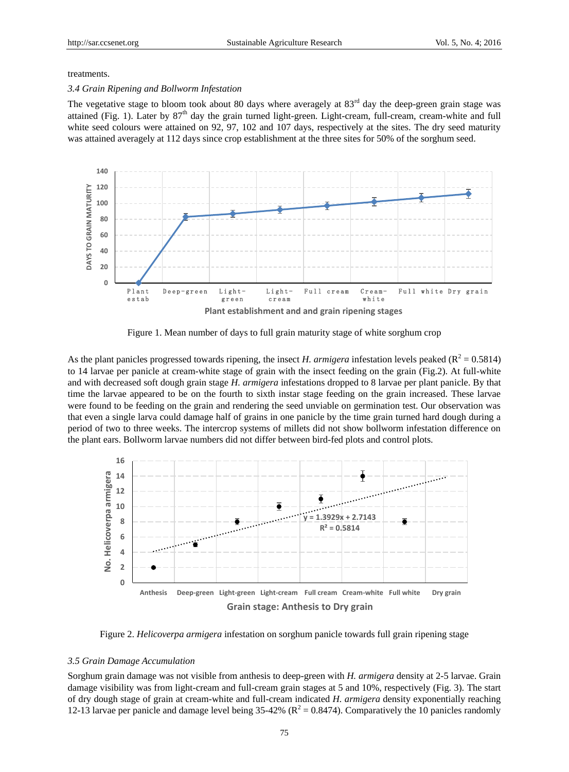#### treatments.

#### *3.4 Grain Ripening and Bollworm Infestation*

The vegetative stage to bloom took about 80 days where averagely at  $83<sup>rd</sup>$  day the deep-green grain stage was attained (Fig. 1). Later by  $87<sup>th</sup>$  day the grain turned light-green. Light-cream, full-cream, cream-white and full white seed colours were attained on 92, 97, 102 and 107 days, respectively at the sites. The dry seed maturity was attained averagely at 112 days since crop establishment at the three sites for 50% of the sorghum seed.



Figure 1. Mean number of days to full grain maturity stage of white sorghum crop

As the plant panicles progressed towards ripening, the insect *H. armigera* infestation levels peaked ( $R^2 = 0.5814$ ) to 14 larvae per panicle at cream-white stage of grain with the insect feeding on the grain (Fig.2). At full-white and with decreased soft dough grain stage *H. armigera* infestations dropped to 8 larvae per plant panicle. By that time the larvae appeared to be on the fourth to sixth instar stage feeding on the grain increased. These larvae were found to be feeding on the grain and rendering the seed unviable on germination test. Our observation was that even a single larva could damage half of grains in one panicle by the time grain turned hard dough during a period of two to three weeks. The intercrop systems of millets did not show bollworm infestation difference on the plant ears. Bollworm larvae numbers did not differ between bird-fed plots and control plots.



Figure 2. *Helicoverpa armigera* infestation on sorghum panicle towards full grain ripening stage

#### *3.5 Grain Damage Accumulation*

Sorghum grain damage was not visible from anthesis to deep-green with *H. armigera* density at 2-5 larvae. Grain damage visibility was from light-cream and full-cream grain stages at 5 and 10%, respectively (Fig. 3). The start of dry dough stage of grain at cream-white and full-cream indicated *H. armigera* density exponentially reaching 12-13 larvae per panicle and damage level being  $35-42\%$  ( $R^2 = 0.8474$ ). Comparatively the 10 panicles randomly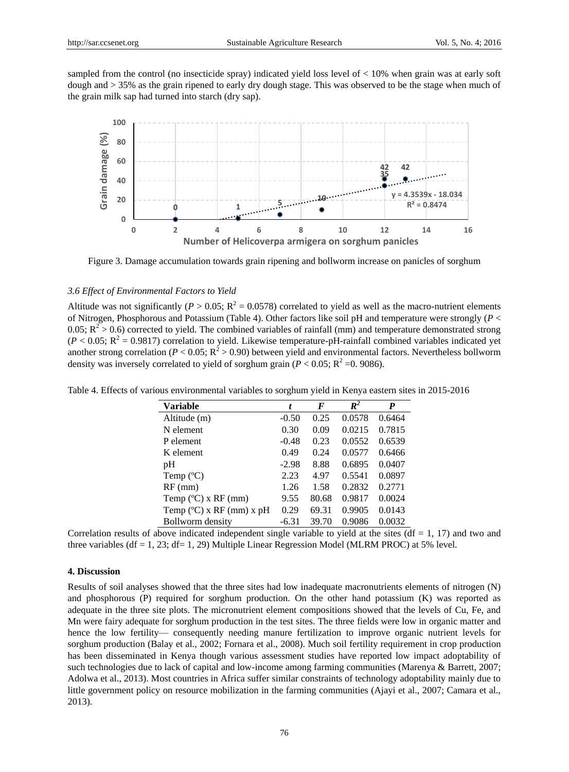sampled from the control (no insecticide spray) indicated yield loss level of < 10% when grain was at early soft dough and > 35% as the grain ripened to early dry dough stage. This was observed to be the stage when much of the grain milk sap had turned into starch (dry sap).



Figure 3. Damage accumulation towards grain ripening and bollworm increase on panicles of sorghum

# *3.6 Effect of Environmental Factors to Yield*

Altitude was not significantly ( $P > 0.05$ ;  $R^2 = 0.0578$ ) correlated to yield as well as the macro-nutrient elements of Nitrogen, Phosphorous and Potassium (Table 4). Other factors like soil pH and temperature were strongly (*P* < 0.05;  $R^2 > 0.6$ ) corrected to yield. The combined variables of rainfall (mm) and temperature demonstrated strong  $(P < 0.05; R<sup>2</sup> = 0.9817)$  correlation to yield. Likewise temperature-pH-rainfall combined variables indicated yet another strong correlation ( $P < 0.05$ ;  $R^2 > 0.90$ ) between yield and environmental factors. Nevertheless bollworm density was inversely correlated to yield of sorghum grain ( $P < 0.05$ ;  $R^2 = 0.9086$ ).

| Variable                  | t       | F     | $\mathbb{R}^2$ | P      |
|---------------------------|---------|-------|----------------|--------|
| Altitude (m)              | $-0.50$ | 0.25  | 0.0578         | 0.6464 |
| N element                 | 0.30    | 0.09  | 0.0215         | 0.7815 |
| P element                 | $-0.48$ | 0.23  | 0.0552         | 0.6539 |
| K element                 | 0.49    | 0.24  | 0.0577         | 0.6466 |
| pH                        | $-2.98$ | 8.88  | 0.6895         | 0.0407 |
| Temp $(C)$                | 2.23    | 4.97  | 0.5541         | 0.0897 |
| $RF$ (mm)                 | 1.26    | 1.58  | 0.2832         | 0.2771 |
| Temp $(C)$ x RF (mm)      | 9.55    | 80.68 | 0.9817         | 0.0024 |
| Temp $(C)$ x RF (mm) x pH | 0.29    | 69.31 | 0.9905         | 0.0143 |
| Bollworm density          | $-6.31$ | 39.70 | 0.9086         | 0.0032 |

Table 4. Effects of various environmental variables to sorghum yield in Kenya eastern sites in 2015-2016

Correlation results of above indicated independent single variable to yield at the sites ( $df = 1$ , 17) and two and three variables (df = 1, 23; df = 1, 29) Multiple Linear Regression Model (MLRM PROC) at 5% level.

#### **4. Discussion**

Results of soil analyses showed that the three sites had low inadequate macronutrients elements of nitrogen (N) and phosphorous (P) required for sorghum production. On the other hand potassium (K) was reported as adequate in the three site plots. The micronutrient element compositions showed that the levels of Cu, Fe, and Mn were fairy adequate for sorghum production in the test sites. The three fields were low in organic matter and hence the low fertility— consequently needing manure fertilization to improve organic nutrient levels for sorghum production (Balay et al., 2002; Fornara et al., 2008). Much soil fertility requirement in crop production has been disseminated in Kenya though various assessment studies have reported low impact adoptability of such technologies due to lack of capital and low-income among farming communities (Marenya & Barrett, 2007; Adolwa et al., 2013). Most countries in Africa suffer similar constraints of technology adoptability mainly due to little government policy on resource mobilization in the farming communities (Ajayi et al., 2007; Camara et al., 2013).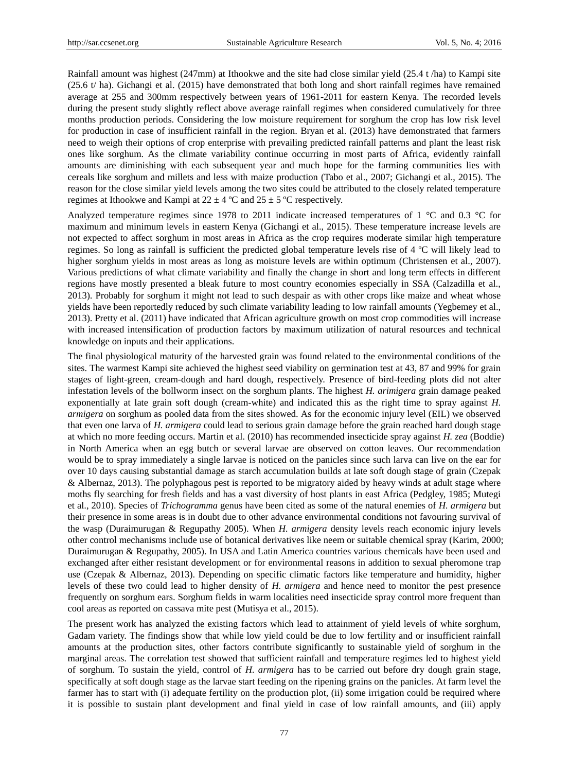Rainfall amount was highest (247mm) at Ithookwe and the site had close similar yield (25.4 t /ha) to Kampi site (25.6 t/ ha). Gichangi et al. (2015) have demonstrated that both long and short rainfall regimes have remained average at 255 and 300mm respectively between years of 1961-2011 for eastern Kenya. The recorded levels during the present study slightly reflect above average rainfall regimes when considered cumulatively for three months production periods. Considering the low moisture requirement for sorghum the crop has low risk level for production in case of insufficient rainfall in the region. Bryan et al. (2013) have demonstrated that farmers need to weigh their options of crop enterprise with prevailing predicted rainfall patterns and plant the least risk ones like sorghum. As the climate variability continue occurring in most parts of Africa, evidently rainfall amounts are diminishing with each subsequent year and much hope for the farming communities lies with cereals like sorghum and millets and less with maize production (Tabo et al., 2007; Gichangi et al., 2015). The reason for the close similar yield levels among the two sites could be attributed to the closely related temperature regimes at Ithookwe and Kampi at  $22 \pm 4$  °C and  $25 \pm 5$  °C respectively.

Analyzed temperature regimes since 1978 to 2011 indicate increased temperatures of 1  $\degree$ C and 0.3  $\degree$ C for maximum and minimum levels in eastern Kenya (Gichangi et al., 2015). These temperature increase levels are not expected to affect sorghum in most areas in Africa as the crop requires moderate similar high temperature regimes. So long as rainfall is sufficient the predicted global temperature levels rise of 4  $\degree$ C will likely lead to higher sorghum yields in most areas as long as moisture levels are within optimum (Christensen et al., 2007). Various predictions of what climate variability and finally the change in short and long term effects in different regions have mostly presented a bleak future to most country economies especially in SSA (Calzadilla et al., 2013). Probably for sorghum it might not lead to such despair as with other crops like maize and wheat whose yields have been reportedly reduced by such climate variability leading to low rainfall amounts (Yegbemey et al., 2013). Pretty et al. (2011) have indicated that African agriculture growth on most crop commodities will increase with increased intensification of production factors by maximum utilization of natural resources and technical knowledge on inputs and their applications.

The final physiological maturity of the harvested grain was found related to the environmental conditions of the sites. The warmest Kampi site achieved the highest seed viability on germination test at 43, 87 and 99% for grain stages of light-green, cream-dough and hard dough, respectively. Presence of bird-feeding plots did not alter infestation levels of the bollworm insect on the sorghum plants. The highest *H. arimigera* grain damage peaked exponentially at late grain soft dough (cream-white) and indicated this as the right time to spray against *H. armigera* on sorghum as pooled data from the sites showed. As for the economic injury level (EIL) we observed that even one larva of *H. armigera* could lead to serious grain damage before the grain reached hard dough stage at which no more feeding occurs. Martin et al. (2010) has recommended insecticide spray against *H. zea* (Boddie) in North America when an egg butch or several larvae are observed on cotton leaves. Our recommendation would be to spray immediately a single larvae is noticed on the panicles since such larva can live on the ear for over 10 days causing substantial damage as starch accumulation builds at late soft dough stage of grain (Czepak & Albernaz, 2013). The polyphagous pest is reported to be migratory aided by heavy winds at adult stage where moths fly searching for fresh fields and has a vast diversity of host plants in east Africa (Pedgley, 1985; Mutegi et al., 2010). Species of *Trichogramma* genus have been cited as some of the natural enemies of *H. armigera* but their presence in some areas is in doubt due to other advance environmental conditions not favouring survival of the wasp (Duraimurugan & Regupathy 2005). When *H. armigera* density levels reach economic injury levels other control mechanisms include use of botanical derivatives like neem or suitable chemical spray (Karim, 2000; Duraimurugan & Regupathy, 2005). In USA and Latin America countries various chemicals have been used and exchanged after either resistant development or for environmental reasons in addition to sexual pheromone trap use (Czepak & Albernaz, 2013). Depending on specific climatic factors like temperature and humidity, higher levels of these two could lead to higher density of *H. armigera* and hence need to monitor the pest presence frequently on sorghum ears. Sorghum fields in warm localities need insecticide spray control more frequent than cool areas as reported on cassava mite pest (Mutisya et al., 2015).

The present work has analyzed the existing factors which lead to attainment of yield levels of white sorghum, Gadam variety. The findings show that while low yield could be due to low fertility and or insufficient rainfall amounts at the production sites, other factors contribute significantly to sustainable yield of sorghum in the marginal areas. The correlation test showed that sufficient rainfall and temperature regimes led to highest yield of sorghum. To sustain the yield, control of *H. armigera* has to be carried out before dry dough grain stage, specifically at soft dough stage as the larvae start feeding on the ripening grains on the panicles. At farm level the farmer has to start with (i) adequate fertility on the production plot, (ii) some irrigation could be required where it is possible to sustain plant development and final yield in case of low rainfall amounts, and (iii) apply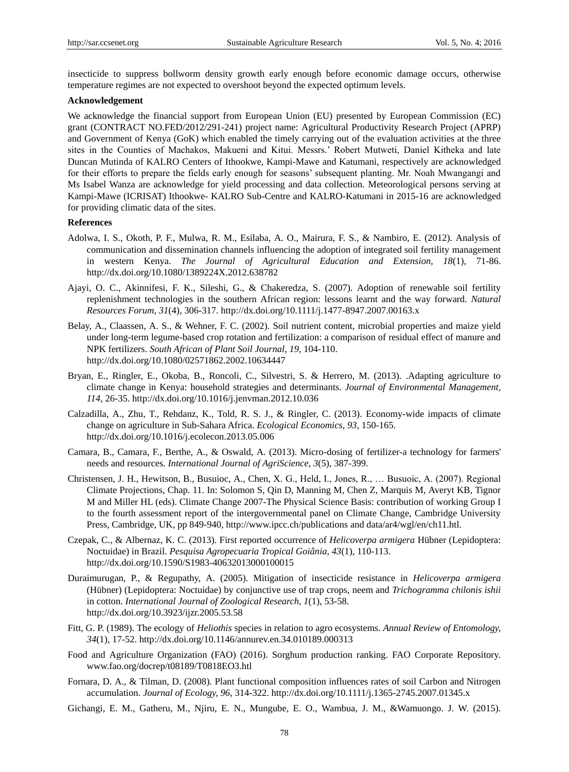insecticide to suppress bollworm density growth early enough before economic damage occurs, otherwise temperature regimes are not expected to overshoot beyond the expected optimum levels.

#### **Acknowledgement**

We acknowledge the financial support from European Union (EU) presented by European Commission (EC) grant (CONTRACT NO.FED/2012/291-241) project name: Agricultural Productivity Research Project (APRP) and Government of Kenya (GoK) which enabled the timely carrying out of the evaluation activities at the three sites in the Counties of Machakos, Makueni and Kitui. Messrs.' Robert Mutweti, Daniel Kitheka and late Duncan Mutinda of KALRO Centers of Ithookwe, Kampi-Mawe and Katumani, respectively are acknowledged for their efforts to prepare the fields early enough for seasons' subsequent planting. Mr. Noah Mwangangi and Ms Isabel Wanza are acknowledge for yield processing and data collection. Meteorological persons serving at Kampi-Mawe (ICRISAT) Ithookwe- KALRO Sub-Centre and KALRO-Katumani in 2015-16 are acknowledged for providing climatic data of the sites.

# **References**

- Adolwa, I. S., Okoth, P. F., Mulwa, R. M., Esilaba, A. O., Mairura, F. S., & Nambiro, E. (2012). Analysis of communication and dissemination channels influencing the adoption of integrated soil fertility management in western Kenya. *The Journal of Agricultural Education and Extension, 18*(1), 71-86. http://dx.doi.org/10.1080/1389224X.2012.638782
- Ajayi, O. C., Akinnifesi, F. K., Sileshi, G., & Chakeredza, S. (2007). Adoption of renewable soil fertility replenishment technologies in the southern African region: lessons learnt and the way forward. *Natural Resources Forum, 31*(4), 306-317. http://dx.doi.org/10.1111/j.1477-8947.2007.00163.x
- Belay, A., Claassen, A. S., & Wehner, F. C. (2002). Soil nutrient content, microbial properties and maize yield under long-term legume-based crop rotation and fertilization: a comparison of residual effect of manure and NPK fertilizers. *South African of Plant Soil Journal, 19*, 104-110. http://dx.doi.org/10.1080/02571862.2002.10634447
- Bryan, E., Ringler, E., Okoba, B., Roncoli, C., Silvestri, S. & Herrero, M. (2013). .Adapting agriculture to climate change in Kenya: household strategies and determinants. *Journal of Environmental Management, 114*, 26-35. http://dx.doi.org/10.1016/j.jenvman.2012.10.036
- Calzadilla, A., Zhu, T., Rehdanz, K., Told, R. S. J., & Ringler, C. (2013). Economy-wide impacts of climate change on agriculture in Sub-Sahara Africa. *Ecological Economics, 93*, 150-165. http://dx.doi.org/10.1016/j.ecolecon.2013.05.006
- Camara, B., Camara, F., Berthe, A., & Oswald, A. (2013). Micro-dosing of fertilizer-a technology for farmers' needs and resources. *International Journal of AgriScience, 3*(5), 387-399.
- Christensen, J. H., Hewitson, B., Busuioc, A., Chen, X. G., Held, I., Jones, R., … Busuoic, A. (2007). Regional Climate Projections, Chap. 11. In: Solomon S, Qin D, Manning M, Chen Z, Marquis M, Averyt KB, Tignor M and Miller HL (eds). Climate Change 2007-The Physical Science Basis: contribution of working Group I to the fourth assessment report of the intergovernmental panel on Climate Change, Cambridge University Press, Cambridge, UK, pp 849-940, http://www.ipcc.ch/publications and data/ar4/wgl/en/ch11.htl.
- Czepak, C., & Albernaz, K. C. (2013). First reported occurrence of *Helicoverpa armigera* Hübner (Lepidoptera: Noctuidae) in Brazil. *Pesquisa Agropecuaria Tropical Goiânia, 43*(1), 110-113. http://dx.doi.org/10.1590/S1983-40632013000100015
- Duraimurugan, P., & Regupathy, A. (2005). Mitigation of insecticide resistance in *Helicoverpa armigera* (Hübner) (Lepidoptera: Noctuidae) by conjunctive use of trap crops, neem and *Trichogramma chilonis ishii* in cotton. *International Journal of Zoological Research, 1*(1), 53-58. http://dx.doi.org/10.3923/ijzr.2005.53.58
- Fitt, G. P. (1989). The ecology of *Heliothis* species in relation to agro ecosystems. *Annual Review of Entomology, 34*(1), 17-52. http://dx.doi.org/10.1146/annurev.en.34.010189.000313
- Food and Agriculture Organization (FAO) (2016). Sorghum production ranking. FAO Corporate Repository. www.fao.org/docrep/t08189/T0818EO3.htl
- Fornara, D. A., & Tilman, D. (2008). Plant functional composition influences rates of soil Carbon and Nitrogen accumulation. *Journal of Ecology, 96*, 314-322. http://dx.doi.org/10.1111/j.1365-2745.2007.01345.x
- Gichangi, E. M., Gatheru, M., Njiru, E. N., Mungube, E. O., Wambua, J. M., &Wamuongo. J. W. (2015).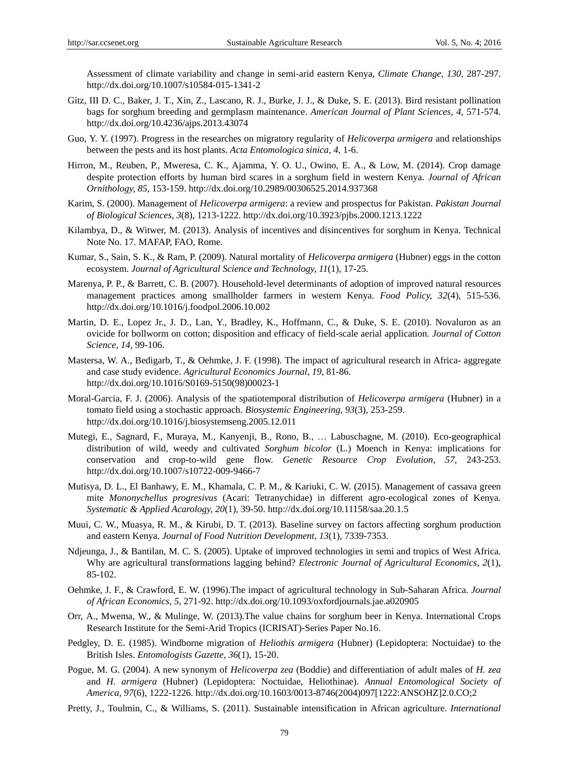Assessment of climate variability and change in semi-arid eastern Kenya, *Climate Change, 130*, 287-297. http://dx.doi.org/10.1007/s10584-015-1341-2

- Gitz, III D. C., Baker, J. T., Xin, Z., Lascano, R. J., Burke, J. J., & Duke, S. E. (2013). Bird resistant pollination bags for sorghum breeding and germplasm maintenance. *American Journal of Plant Sciences, 4*, 571-574. http://dx.doi.org/10.4236/ajps.2013.43074
- Guo, Y. Y. (1997). Progress in the researches on migratory regularity of *Helicoverpa armigera* and relationships between the pests and its host plants. *Acta Entomologica sinica, 4*, 1-6.
- Hirron, M., Reuben, P., Mweresa, C. K., Ajamma, Y. O. U., Owino, E. A., & Low, M. (2014). Crop damage despite protection efforts by human bird scares in a sorghum field in western Kenya. *Journal of African Ornithology, 85*, 153-159. http://dx.doi.org/10.2989/00306525.2014.937368
- Karim, S. (2000). Management of *Helicoverpa armigera*: a review and prospectus for Pakistan. *Pakistan Journal of Biological Sciences, 3*(8), 1213-1222. http://dx.doi.org/10.3923/pjbs.2000.1213.1222
- Kilambya, D., & Witwer, M. (2013). Analysis of incentives and disincentives for sorghum in Kenya. Technical Note No. 17. MAFAP, FAO, Rome.
- Kumar, S., Sain, S. K., & Ram, P. (2009). Natural mortality of *Helicoverpa armigera* (Hubner) eggs in the cotton ecosystem. *Journal of Agricultural Science and Technology, 11*(1), 17-25.
- Marenya, P. P., & Barrett, C. B. (2007). Household-level determinants of adoption of improved natural resources management practices among smallholder farmers in western Kenya. *Food Policy, 32*(4), 515-536. http://dx.doi.org/10.1016/j.foodpol.2006.10.002
- Martin, D. E., Lopez Jr., J. D., Lan, Y., Bradley, K., Hoffmann, C., & Duke, S. E. (2010). Novaluron as an ovicide for bollworm on cotton; disposition and efficacy of field-scale aerial application. *Journal of Cotton Science, 14*, 99-106.
- Mastersa, W. A., Bedigarb, T., & Oehmke, J. F. (1998). The impact of agricultural research in Africa- aggregate and case study evidence. *Agricultural Economics Journal, 19*, 81-86. http://dx.doi.org/10.1016/S0169-5150(98)00023-1
- Moral-Garcia, F. J. (2006). Analysis of the spatiotemporal distribution of *Helicoverpa armigera* (Hubner) in a tomato field using a stochastic approach. *Biosystemic Engineering, 93*(3), 253-259. http://dx.doi.org/10.1016/j.biosystemseng.2005.12.011
- Mutegi, E., Sagnard, F., Muraya, M., Kanyenji, B., Rono, B., … Labuschagne, M. (2010). Eco-geographical distribution of wild, weedy and cultivated *Sorghum bicolor* (L.) Moench in Kenya: implications for conservation and crop-to-wild gene flow. *Genetic Resource Crop Evolution, 57*, 243-253. http://dx.doi.org/10.1007/s10722-009-9466-7
- Mutisya, D. L., El Banhawy, E. M., Khamala, C. P. M., & Kariuki, C. W. (2015). Management of cassava green mite *Mononychellus progresivus* (Acari: Tetranychidae) in different agro-ecological zones of Kenya*. Systematic & Applied Acarology, 20*(1)*,* 39-50. http://dx.doi.org/10.11158/saa.20.1.5
- Muui, C. W., Muasya, R. M., & Kirubi, D. T. (2013). Baseline survey on factors affecting sorghum production and eastern Kenya. *Journal of Food Nutrition Development, 13*(1), 7339-7353.
- Ndjeunga, J., & Bantilan, M. C. S. (2005). Uptake of improved technologies in semi and tropics of West Africa. Why are agricultural transformations lagging behind? *Electronic Journal of Agricultural Economics, 2*(1), 85-102.
- Oehmke, J. F., & Crawford, E. W. (1996).The impact of agricultural technology in Sub-Saharan Africa. *Journal of African Economics, 5*, 271-92. http://dx.doi.org/10.1093/oxfordjournals.jae.a020905
- Orr, A., Mwema, W., & Mulinge, W. (2013).The value chains for sorghum beer in Kenya. International Crops Research Institute for the Semi-Arid Tropics (ICRISAT)-Series Paper No.16.
- Pedgley, D. E. (1985). Windborne migration of *Heliothis armigera* (Hubner) (Lepidoptera: Noctuidae) to the British Isles. *Entomologists Gazette, 36*(1), 15-20.
- Pogue, M. G. (2004). A new synonym of *Helicoverpa zea* (Boddie) and differentiation of adult males of *H. zea* and *H. armigera* (Hubner) (Lepidoptera: Noctuidae, Heliothinae). *Annual Entomological Society of America, 97*(6), 1222-1226. http://dx.doi.org/10.1603/0013-8746(2004)097[1222:ANSOHZ]2.0.CO;2
- Pretty, J., Toulmin, C., & Williams, S. (2011). Sustainable intensification in African agriculture. *International*